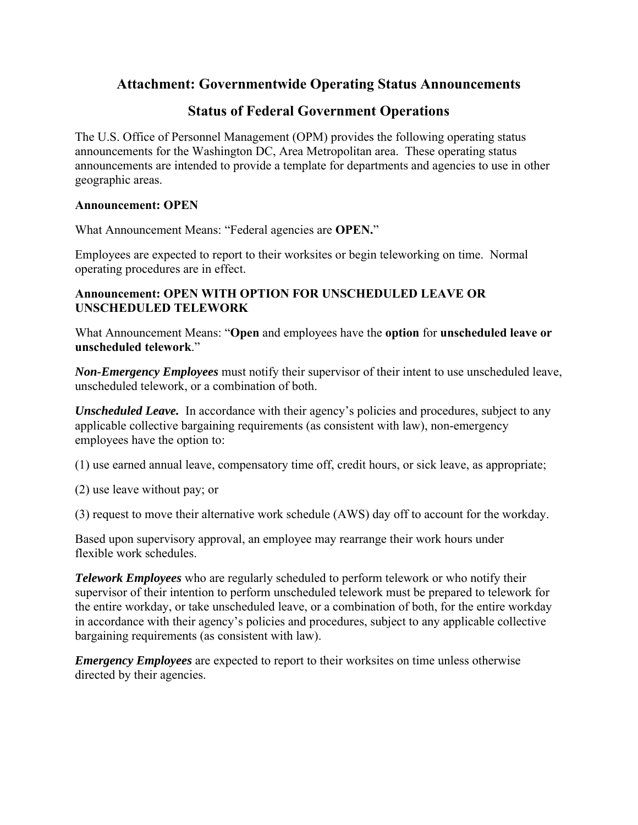# **Attachment: Governmentwide Operating Status Announcements**

# **Status of Federal Government Operations**

The U.S. Office of Personnel Management (OPM) provides the following operating status announcements for the Washington DC, Area Metropolitan area. These operating status announcements are intended to provide a template for departments and agencies to use in other geographic areas.

### **Announcement: OPEN**

What Announcement Means: "Federal agencies are **OPEN.**"

Employees are expected to report to their worksites or begin teleworking on time. Normal operating procedures are in effect.

# **Announcement: OPEN WITH OPTION FOR UNSCHEDULED LEAVE OR UNSCHEDULED TELEWORK**

What Announcement Means: "**Open** and employees have the **option** for **unscheduled leave or unscheduled telework**."

*Non-Emergency Employees* must notify their supervisor of their intent to use unscheduled leave, unscheduled telework, or a combination of both.

*Unscheduled Leave.* In accordance with their agency's policies and procedures, subject to any applicable collective bargaining requirements (as consistent with law), non-emergency employees have the option to:

(1) use earned annual leave, compensatory time off, credit hours, or sick leave, as appropriate;

(2) use leave without pay; or

(3) request to move their alternative work schedule (AWS) day off to account for the workday.

Based upon supervisory approval, an employee may rearrange their work hours under flexible work schedules.

*Telework Employees* who are regularly scheduled to perform telework or who notify their supervisor of their intention to perform unscheduled telework must be prepared to telework for the entire workday, or take unscheduled leave, or a combination of both, for the entire workday in accordance with their agency's policies and procedures, subject to any applicable collective bargaining requirements (as consistent with law).

*Emergency Employees* are expected to report to their worksites on time unless otherwise directed by their agencies.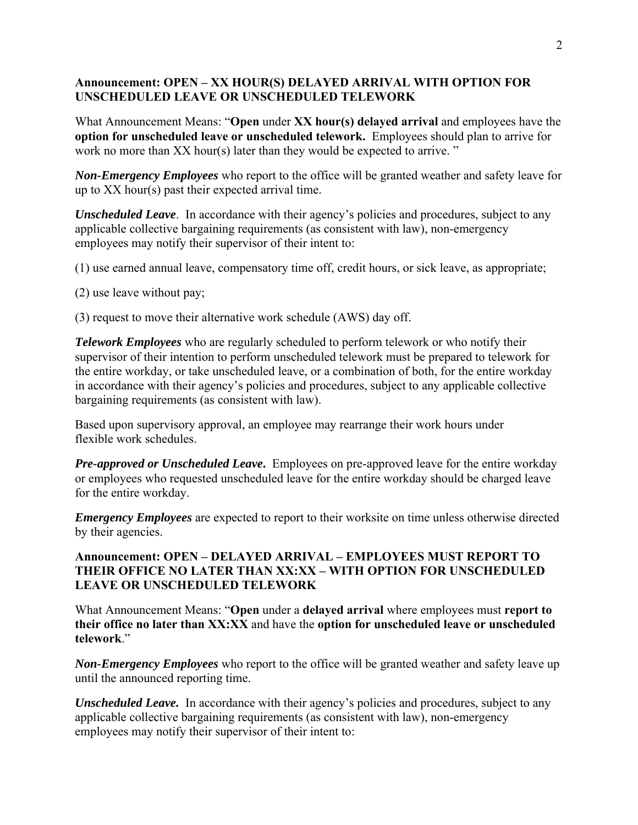## **Announcement: OPEN – XX HOUR(S) DELAYED ARRIVAL WITH OPTION FOR UNSCHEDULED LEAVE OR UNSCHEDULED TELEWORK**

What Announcement Means: "**Open** under **XX hour(s) delayed arrival** and employees have the **option for unscheduled leave or unscheduled telework.** Employees should plan to arrive for work no more than XX hour(s) later than they would be expected to arrive."

*Non-Emergency Employees* who report to the office will be granted weather and safety leave for up to XX hour(s) past their expected arrival time.

*Unscheduled Leave.* In accordance with their agency's policies and procedures, subject to any applicable collective bargaining requirements (as consistent with law), non-emergency employees may notify their supervisor of their intent to:

(1) use earned annual leave, compensatory time off, credit hours, or sick leave, as appropriate;

(2) use leave without pay;

(3) request to move their alternative work schedule (AWS) day off.

*Telework Employees* who are regularly scheduled to perform telework or who notify their supervisor of their intention to perform unscheduled telework must be prepared to telework for the entire workday, or take unscheduled leave, or a combination of both, for the entire workday in accordance with their agency's policies and procedures, subject to any applicable collective bargaining requirements (as consistent with law).

Based upon supervisory approval, an employee may rearrange their work hours under flexible work schedules.

*Pre-approved or Unscheduled Leave***.** Employees on pre-approved leave for the entire workday or employees who requested unscheduled leave for the entire workday should be charged leave for the entire workday.

*Emergency Employees* are expected to report to their worksite on time unless otherwise directed by their agencies.

# **Announcement: OPEN – DELAYED ARRIVAL – EMPLOYEES MUST REPORT TO THEIR OFFICE NO LATER THAN XX:XX – WITH OPTION FOR UNSCHEDULED LEAVE OR UNSCHEDULED TELEWORK**

What Announcement Means: "**Open** under a **delayed arrival** where employees must **report to their office no later than XX:XX** and have the **option for unscheduled leave or unscheduled telework**."

*Non-Emergency Employees* who report to the office will be granted weather and safety leave up until the announced reporting time.

*Unscheduled Leave.* In accordance with their agency's policies and procedures, subject to any applicable collective bargaining requirements (as consistent with law), non-emergency employees may notify their supervisor of their intent to: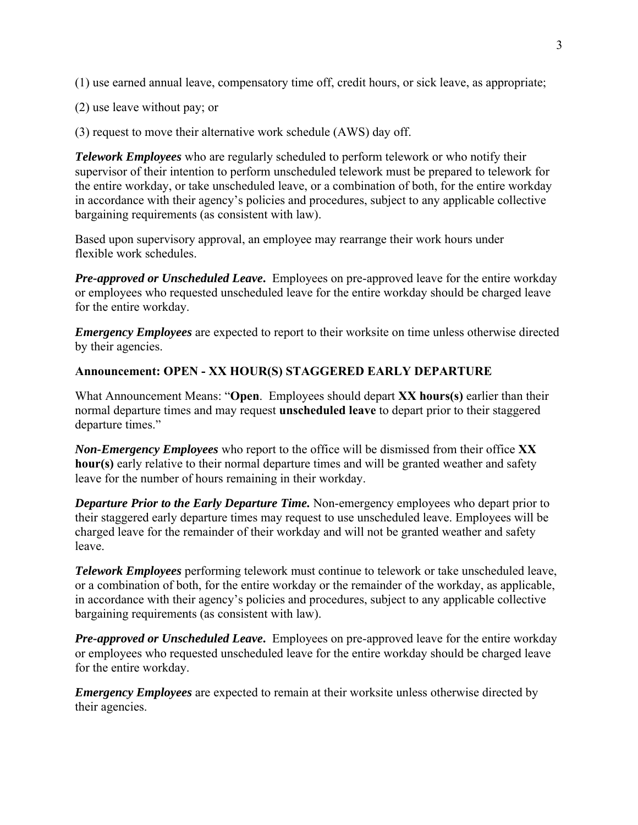(1) use earned annual leave, compensatory time off, credit hours, or sick leave, as appropriate;

(2) use leave without pay; or

(3) request to move their alternative work schedule (AWS) day off.

*Telework Employees* who are regularly scheduled to perform telework or who notify their supervisor of their intention to perform unscheduled telework must be prepared to telework for the entire workday, or take unscheduled leave, or a combination of both, for the entire workday in accordance with their agency's policies and procedures, subject to any applicable collective bargaining requirements (as consistent with law).

Based upon supervisory approval, an employee may rearrange their work hours under flexible work schedules.

*Pre-approved or Unscheduled Leave***.** Employees on pre-approved leave for the entire workday or employees who requested unscheduled leave for the entire workday should be charged leave for the entire workday.

*Emergency Employees* are expected to report to their worksite on time unless otherwise directed by their agencies.

#### **Announcement: OPEN - XX HOUR(S) STAGGERED EARLY DEPARTURE**

What Announcement Means: "**Open**. Employees should depart **XX hours(s)** earlier than their normal departure times and may request **unscheduled leave** to depart prior to their staggered departure times."

*Non-Emergency Employees* who report to the office will be dismissed from their office **XX hour(s)** early relative to their normal departure times and will be granted weather and safety leave for the number of hours remaining in their workday.

*Departure Prior to the Early Departure Time.* Non-emergency employees who depart prior to their staggered early departure times may request to use unscheduled leave. Employees will be charged leave for the remainder of their workday and will not be granted weather and safety leave.

*Telework Employees* performing telework must continue to telework or take unscheduled leave, or a combination of both, for the entire workday or the remainder of the workday, as applicable, in accordance with their agency's policies and procedures, subject to any applicable collective bargaining requirements (as consistent with law).

*Pre-approved or Unscheduled Leave***.** Employees on pre-approved leave for the entire workday or employees who requested unscheduled leave for the entire workday should be charged leave for the entire workday.

*Emergency Employees* are expected to remain at their worksite unless otherwise directed by their agencies.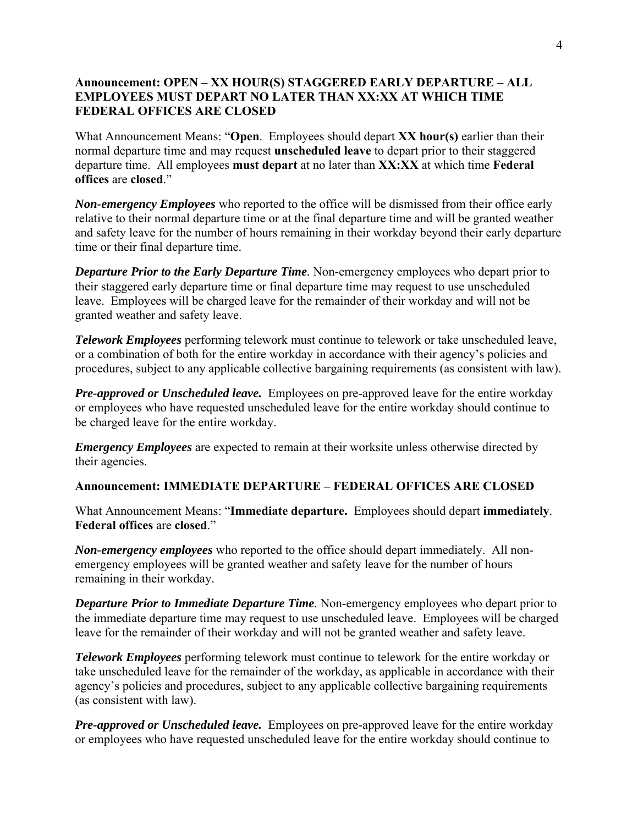# **Announcement: OPEN – XX HOUR(S) STAGGERED EARLY DEPARTURE – ALL EMPLOYEES MUST DEPART NO LATER THAN XX:XX AT WHICH TIME FEDERAL OFFICES ARE CLOSED**

What Announcement Means: "**Open**. Employees should depart **XX hour(s)** earlier than their normal departure time and may request **unscheduled leave** to depart prior to their staggered departure time. All employees **must depart** at no later than **XX:XX** at which time **Federal offices** are **closed**."

*Non-emergency Employees* who reported to the office will be dismissed from their office early relative to their normal departure time or at the final departure time and will be granted weather and safety leave for the number of hours remaining in their workday beyond their early departure time or their final departure time.

*Departure Prior to the Early Departure Time.* Non-emergency employees who depart prior to their staggered early departure time or final departure time may request to use unscheduled leave. Employees will be charged leave for the remainder of their workday and will not be granted weather and safety leave.

*Telework Employees* performing telework must continue to telework or take unscheduled leave, or a combination of both for the entire workday in accordance with their agency's policies and procedures, subject to any applicable collective bargaining requirements (as consistent with law).

*Pre-approved or Unscheduled leave.* Employees on pre-approved leave for the entire workday or employees who have requested unscheduled leave for the entire workday should continue to be charged leave for the entire workday.

*Emergency Employees* are expected to remain at their worksite unless otherwise directed by their agencies.

### **Announcement: IMMEDIATE DEPARTURE – FEDERAL OFFICES ARE CLOSED**

What Announcement Means: "**Immediate departure.** Employees should depart **immediately**. **Federal offices** are **closed**."

*Non-emergency employees* who reported to the office should depart immediately. All nonemergency employees will be granted weather and safety leave for the number of hours remaining in their workday.

*Departure Prior to Immediate Departure Time.* Non-emergency employees who depart prior to the immediate departure time may request to use unscheduled leave. Employees will be charged leave for the remainder of their workday and will not be granted weather and safety leave.

*Telework Employees* performing telework must continue to telework for the entire workday or take unscheduled leave for the remainder of the workday, as applicable in accordance with their agency's policies and procedures, subject to any applicable collective bargaining requirements (as consistent with law).

*Pre-approved or Unscheduled leave.* Employees on pre-approved leave for the entire workday or employees who have requested unscheduled leave for the entire workday should continue to